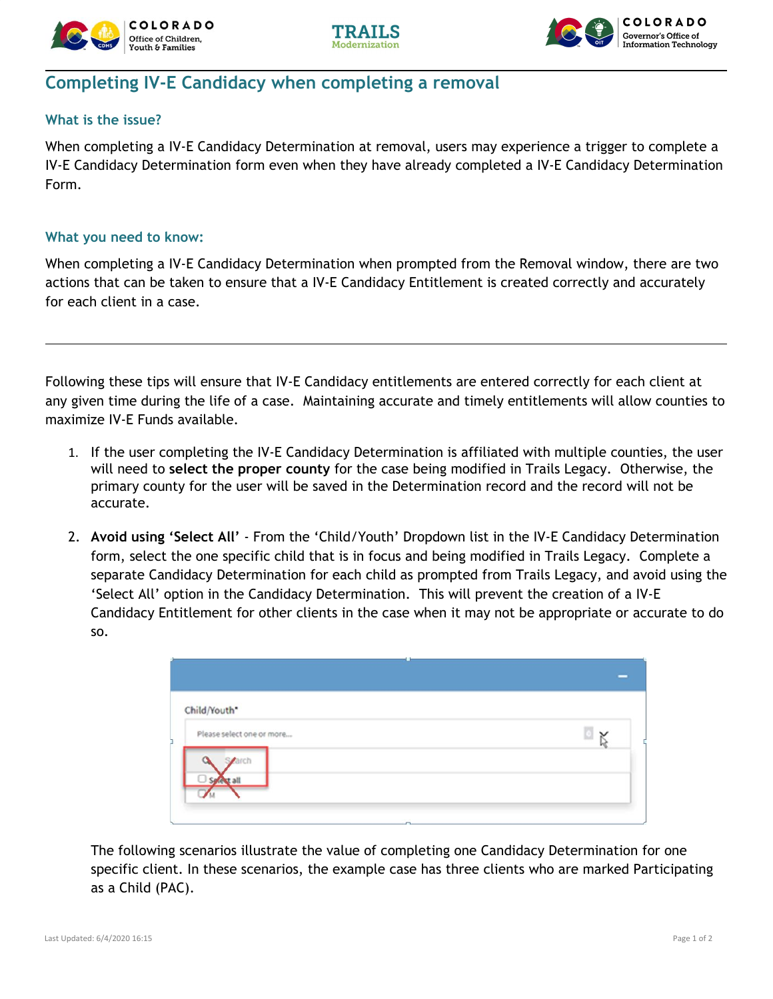





## **Completing IV-E Candidacy when completing a removal**

## **What is the issue?**

When completing a IV-E Candidacy Determination at removal, users may experience a trigger to complete a IV-E Candidacy Determination form even when they have already completed a IV-E Candidacy Determination Form.

## **What you need to know:**

When completing a IV-E Candidacy Determination when prompted from the Removal window, there are two actions that can be taken to ensure that a IV-E Candidacy Entitlement is created correctly and accurately for each client in a case.

Following these tips will ensure that IV-E Candidacy entitlements are entered correctly for each client at any given time during the life of a case. Maintaining accurate and timely entitlements will allow counties to maximize IV-E Funds available.

- 1. If the user completing the IV-E Candidacy Determination is affiliated with multiple counties, the user will need to **select the proper county** for the case being modified in Trails Legacy. Otherwise, the primary county for the user will be saved in the Determination record and the record will not be accurate.
- 2. **Avoid using 'Select All'** From the 'Child/Youth' Dropdown list in the IV-E Candidacy Determination form, select the one specific child that is in focus and being modified in Trails Legacy. Complete a separate Candidacy Determination for each child as prompted from Trails Legacy, and avoid using the 'Select All' option in the Candidacy Determination. This will prevent the creation of a IV-E Candidacy Entitlement for other clients in the case when it may not be appropriate or accurate to do so.

| Child/Youth*<br>Please select one or more |  |
|-------------------------------------------|--|
| arch                                      |  |
|                                           |  |

The following scenarios illustrate the value of completing one Candidacy Determination for one specific client. In these scenarios, the example case has three clients who are marked Participating as a Child (PAC).